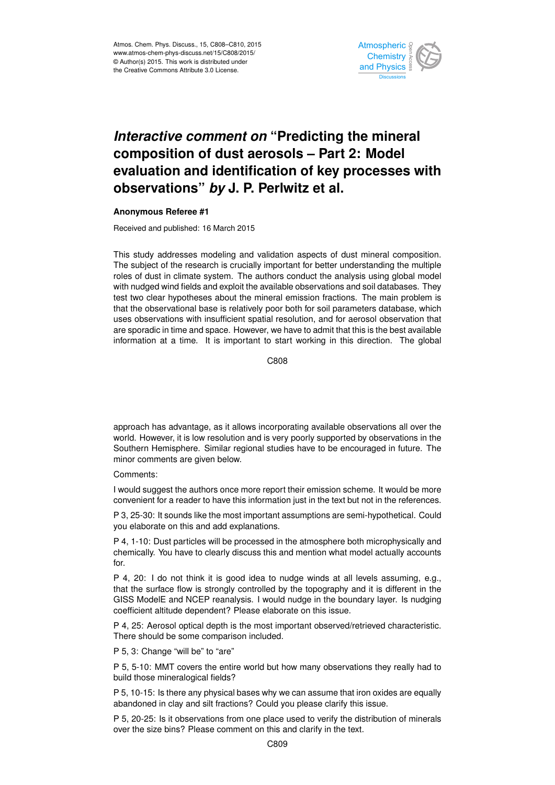

## *Interactive comment on* **"Predicting the mineral composition of dust aerosols – Part 2: Model evaluation and identification of key processes with observations"** *by* **J. P. Perlwitz et al.**

## **Anonymous Referee #1**

Received and published: 16 March 2015

This study addresses modeling and validation aspects of dust mineral composition. The subject of the research is crucially important for better understanding the multiple roles of dust in climate system. The authors conduct the analysis using global model with nudged wind fields and exploit the available observations and soil databases. They test two clear hypotheses about the mineral emission fractions. The main problem is that the observational base is relatively poor both for soil parameters database, which uses observations with insufficient spatial resolution, and for aerosol observation that are sporadic in time and space. However, we have to admit that this is the best available information at a time. It is important to start working in this direction. The global

C808

approach has advantage, as it allows incorporating available observations all over the world. However, it is low resolution and is very poorly supported by observations in the Southern Hemisphere. Similar regional studies have to be encouraged in future. The minor comments are given below.

## Comments:

I would suggest the authors once more report their emission scheme. It would be more convenient for a reader to have this information just in the text but not in the references.

P 3, 25-30: It sounds like the most important assumptions are semi-hypothetical. Could you elaborate on this and add explanations.

P 4, 1-10: Dust particles will be processed in the atmosphere both microphysically and chemically. You have to clearly discuss this and mention what model actually accounts for.

P 4, 20: I do not think it is good idea to nudge winds at all levels assuming, e.g., that the surface flow is strongly controlled by the topography and it is different in the GISS ModelE and NCEP reanalysis. I would nudge in the boundary layer. Is nudging coefficient altitude dependent? Please elaborate on this issue.

P 4, 25: Aerosol optical depth is the most important observed/retrieved characteristic. There should be some comparison included.

P 5, 3: Change "will be" to "are"

P 5, 5-10: MMT covers the entire world but how many observations they really had to build those mineralogical fields?

P 5, 10-15: Is there any physical bases why we can assume that iron oxides are equally abandoned in clay and silt fractions? Could you please clarify this issue.

P 5, 20-25: Is it observations from one place used to verify the distribution of minerals over the size bins? Please comment on this and clarify in the text.